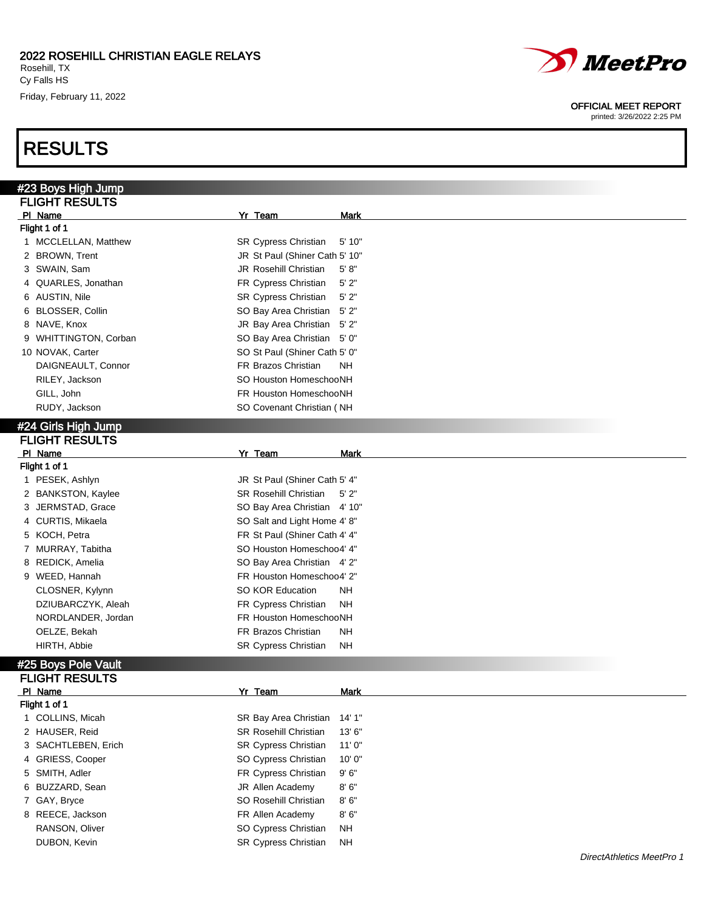Friday, February 11, 2022

# RESULTS

#### OFFICIAL MEET REPORT

| #23 Boys High Jump              |                                |             |
|---------------------------------|--------------------------------|-------------|
| <b>FLIGHT RESULTS</b>           |                                |             |
| PI Name                         | Yr Team                        | <b>Mark</b> |
| Flight 1 of 1                   |                                |             |
| 1 MCCLELLAN, Matthew            | <b>SR Cypress Christian</b>    | 5'10"       |
| 2 BROWN, Trent                  | JR St Paul (Shiner Cath 5' 10" |             |
| 3 SWAIN, Sam                    | JR Rosehill Christian          | 5' 8''      |
| 4 QUARLES, Jonathan             | FR Cypress Christian           | 5'2"        |
| 6 AUSTIN, Nile                  | SR Cypress Christian           | 5'2"        |
| 6 BLOSSER, Collin               | SO Bay Area Christian          | 5'2"        |
| 8 NAVE, Knox                    | JR Bay Area Christian          | 5'2"        |
| <b>WHITTINGTON, Corban</b><br>9 | SO Bay Area Christian 5' 0"    |             |
| 10 NOVAK, Carter                | SO St Paul (Shiner Cath 5' 0"  |             |
| DAIGNEAULT, Connor              | FR Brazos Christian            | NΗ          |
| RILEY, Jackson                  | SO Houston HomeschooNH         |             |
| GILL, John                      | FR Houston HomeschooNH         |             |
| RUDY, Jackson                   | SO Covenant Christian (NH      |             |
| #24 Girls High Jump             |                                |             |
| <b>FLIGHT RESULTS</b>           |                                |             |
| PI_Name                         | Yr Team                        | <b>Mark</b> |
| Flight 1 of 1                   |                                |             |
| 1 PESEK, Ashlyn                 | JR St Paul (Shiner Cath 5' 4"  |             |
| 2 BANKSTON, Kaylee              | <b>SR Rosehill Christian</b>   | $5'$ 2"     |
| 3 JERMSTAD, Grace               | SO Bay Area Christian 4' 10"   |             |
| 4 CURTIS, Mikaela               | SO Salt and Light Home 4' 8"   |             |
| 5 KOCH, Petra                   | FR St Paul (Shiner Cath 4' 4"  |             |
| 7 MURRAY, Tabitha               | SO Houston Homeschoo4' 4"      |             |
| 8 REDICK, Amelia                | SO Bay Area Christian 4' 2"    |             |
| 9 WEED, Hannah                  | FR Houston Homeschoo4' 2"      |             |
| CLOSNER, Kylynn                 | SO KOR Education               | NΗ          |
| DZIUBARCZYK, Aleah              | FR Cypress Christian           | NΗ          |
| NORDLANDER, Jordan              | FR Houston HomeschooNH         |             |
| OELZE, Bekah                    | FR Brazos Christian            | NΗ          |
| HIRTH, Abbie                    | SR Cypress Christian           | <b>NH</b>   |
| #25 Boys Pole Vault             |                                |             |
| <b>FLIGHT RESULTS</b>           |                                |             |
| PI Name                         | Yr Team                        | Mark        |
| Flight 1 of 1                   |                                |             |
| 1 COLLINS, Micah                | SR Bay Area Christian          | 14'1''      |
| 2 HAUSER, Reid                  | <b>SR Rosehill Christian</b>   | 13'6''      |
| 3 SACHTLEBEN, Erich             | SR Cypress Christian           | 11'0''      |
| 4 GRIESS, Cooper                | SO Cypress Christian           | 10'0''      |
| 5 SMITH, Adler                  | FR Cypress Christian           | 9'6''       |
| 6 BUZZARD, Sean                 | JR Allen Academy               | 8'6''       |
| 7 GAY, Bryce                    | SO Rosehill Christian          | 8'6''       |
| 8 REECE, Jackson                | FR Allen Academy               | 8'6''       |
| RANSON, Oliver                  | SO Cypress Christian           | NΗ          |
| DUBON, Kevin                    | SR Cypress Christian           | <b>NH</b>   |
|                                 |                                |             |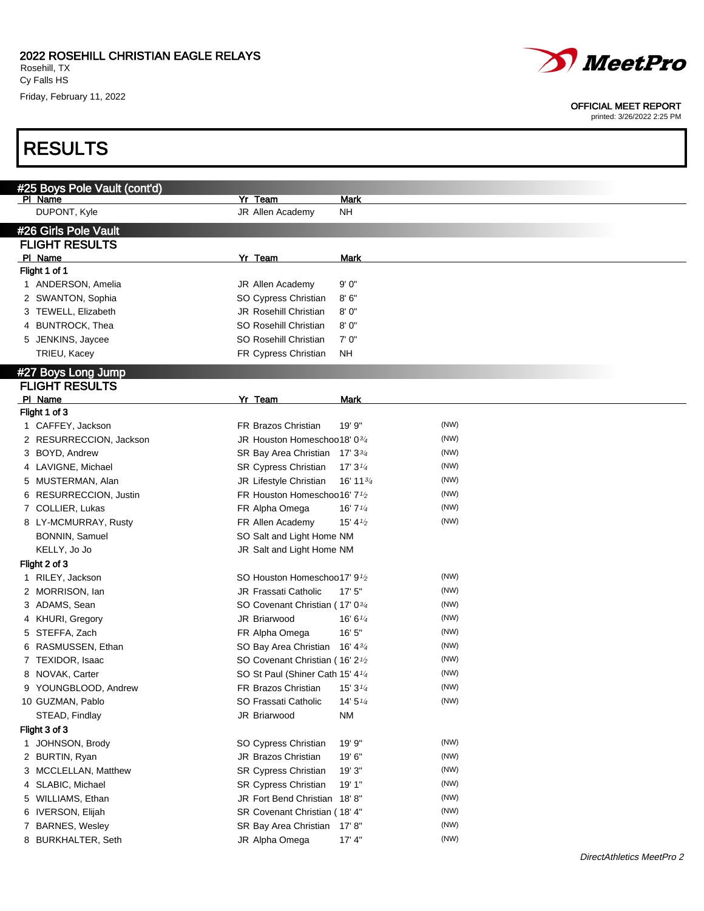

#### OFFICIAL MEET REPORT

|   | #25 Boys Pole Vault (cont'd)                |                                                      |                      |      |
|---|---------------------------------------------|------------------------------------------------------|----------------------|------|
|   | PI Name                                     | Yr Team                                              | <b>Mark</b>          |      |
|   | DUPONT, Kyle                                | JR Allen Academy                                     | <b>NH</b>            |      |
|   | #26 Girls Pole Vault                        |                                                      |                      |      |
|   | <b>FLIGHT RESULTS</b>                       |                                                      |                      |      |
|   | PI Name                                     | Yr Team                                              | <b>Mark</b>          |      |
|   | Flight 1 of 1                               |                                                      |                      |      |
|   | 1 ANDERSON, Amelia                          | <b>JR Allen Academy</b>                              | 9'0''                |      |
|   | 2 SWANTON, Sophia                           | SO Cypress Christian                                 | 8'6''                |      |
|   | 3 TEWELL, Elizabeth                         | <b>JR Rosehill Christian</b>                         | 8'0''                |      |
|   | 4 BUNTROCK, Thea                            | SO Rosehill Christian                                | 8'0''                |      |
|   | 5 JENKINS, Jaycee                           | SO Rosehill Christian                                | 7'0''                |      |
|   | TRIEU, Kacey                                | FR Cypress Christian                                 | ΝH                   |      |
|   |                                             |                                                      |                      |      |
|   | #27 Boys Long Jump<br><b>FLIGHT RESULTS</b> |                                                      |                      |      |
|   | PI Name                                     | Yr Team                                              | <b>Mark</b>          |      |
|   | Flight 1 of 3                               |                                                      |                      |      |
|   | 1 CAFFEY, Jackson                           | FR Brazos Christian                                  | 19' 9"               | (NW) |
|   | 2 RESURRECCION, Jackson                     | JR Houston Homeschoo18' 03/4                         |                      | (NW) |
|   | 3 BOYD, Andrew                              | SR Bay Area Christian 17' 33/4                       |                      | (NW) |
|   | 4 LAVIGNE, Michael                          | SR Cypress Christian                                 | 17'3''               | (NW) |
|   | 5 MUSTERMAN, Alan                           | JR Lifestyle Christian                               | 16' 11 $\frac{3}{4}$ | (NW) |
|   | 6 RESURRECCION, Justin                      | FR Houston Homeschoo16' 7 <sup>1</sup> /2            |                      | (NW) |
|   | 7 COLLIER, Lukas                            | FR Alpha Omega                                       | 16'7''               | (NW) |
|   | 8 LY-MCMURRAY, Rusty                        | FR Allen Academy                                     | $15' 4\frac{1}{2}$   | (NW) |
|   | BONNIN, Samuel                              | SO Salt and Light Home NM                            |                      |      |
|   | KELLY, Jo Jo                                | JR Salt and Light Home NM                            |                      |      |
|   | Flight 2 of 3                               |                                                      |                      |      |
|   | 1 RILEY, Jackson                            | SO Houston Homeschoo17' 91/2                         |                      | (NW) |
|   | 2 MORRISON, Ian                             | JR Frassati Catholic                                 | 17'5''               | (NW) |
|   | 3 ADAMS, Sean                               | SO Covenant Christian (17' 03/4                      |                      | (NW) |
|   | 4 KHURI, Gregory                            | JR Briarwood                                         | 16' 6''              | (NW) |
|   | 5 STEFFA, Zach                              | FR Alpha Omega                                       | 16'5''               | (NW) |
|   | 6 RASMUSSEN, Ethan                          | SO Bay Area Christian 16' 43/4                       |                      | (NW) |
| 7 | TEXIDOR, Isaac                              | SO Covenant Christian (16' 2 <sup>1</sup> /2         |                      | (NW) |
|   | 8 NOVAK, Carter                             | SO St Paul (Shiner Cath 15' 4 <sup>1/4</sup>         |                      | (NW) |
|   | 9 YOUNGBLOOD, Andrew                        | FR Brazos Christian                                  | 15'3'' <sub>4</sub>  | (NW) |
|   | 10 GUZMAN, Pablo                            | SO Frassati Catholic                                 | 14' 5''              | (NW) |
|   |                                             | JR Briarwood                                         | <b>NM</b>            |      |
|   | STEAD, Findlay<br>Flight 3 of 3             |                                                      |                      |      |
|   |                                             | SO Cypress Christian                                 | 19' 9"               | (NW) |
|   | 1 JOHNSON, Brody<br>2 BURTIN, Ryan          | JR Brazos Christian                                  | 19'6"                | (NW) |
|   |                                             |                                                      |                      | (NW) |
|   | 3 MCCLELLAN, Matthew<br>4 SLABIC, Michael   | SR Cypress Christian                                 | 19' 3"<br>19' 1"     | (NW) |
|   |                                             | SR Cypress Christian<br>JR Fort Bend Christian 18'8" |                      | (NW) |
| 5 | WILLIAMS, Ethan                             |                                                      |                      | (NW) |
|   | 6 IVERSON, Elijah                           | SR Covenant Christian (18' 4"                        |                      | (NW) |
|   | 7 BARNES, Wesley                            | SR Bay Area Christian 17' 8"                         |                      | (NW) |
|   | 8 BURKHALTER, Seth                          | JR Alpha Omega                                       | 17' 4"               |      |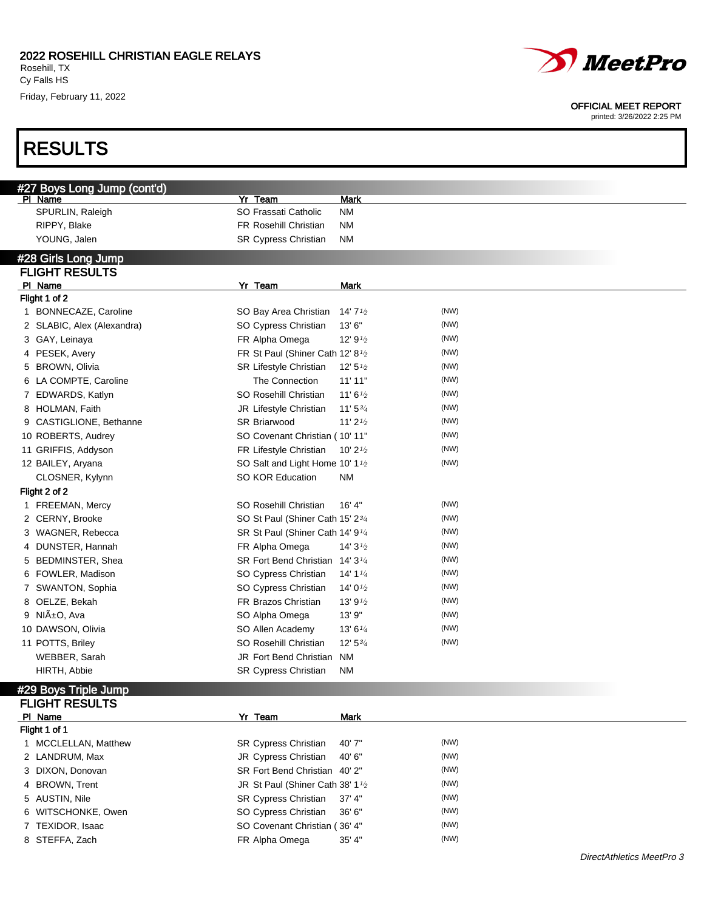### RESULTS

| <i><b><i>D</i></b> MeetPro</i>                            |
|-----------------------------------------------------------|
| <b>OFFICIAL MEET REPORT</b><br>printed: 3/26/2022 2:25 PM |
|                                                           |

| #27 Boys Long Jump (cont'd)<br>Yr Team<br><b>Mark</b><br>PI Name<br>SO Frassati Catholic<br>SPURLIN, Raleigh<br><b>NM</b><br>RIPPY, Blake<br><b>FR Rosehill Christian</b><br><b>NM</b><br>YOUNG, Jalen<br>SR Cypress Christian<br><b>NM</b><br>#28 Girls Long Jump<br><b>FLIGHT RESULTS</b><br>Yr Team<br>PI Name<br><b>Mark</b><br>Flight 1 of 2<br>(NW)<br>1 BONNECAZE, Caroline<br>SO Bay Area Christian<br>14' $7\frac{1}{2}$<br>(NW)<br>SO Cypress Christian<br>13' 6"<br>2 SLABIC, Alex (Alexandra)<br>(NW)<br>3 GAY, Leinaya<br>FR Alpha Omega<br>12' $9\frac{1}{2}$<br>(NW)<br>4 PESEK, Avery<br>FR St Paul (Shiner Cath 12' 8 <sup>1</sup> /2<br>(NW)<br>5 BROWN, Olivia<br><b>SR Lifestyle Christian</b><br>12' 5'<br>(NW)<br>6 LA COMPTE, Caroline<br>The Connection<br>11'11"<br>(NW)<br>7 EDWARDS, Katlyn<br>SO Rosehill Christian<br>11'6'2<br>(NW)<br>8 HOLMAN, Faith<br>JR Lifestyle Christian<br>$11'5^{3/4}$<br>(NW)<br>11' $2\frac{1}{2}$<br>9 CASTIGLIONE, Bethanne<br><b>SR Briarwood</b><br>(NW)<br>10 ROBERTS, Audrey<br>SO Covenant Christian (10'11"<br>(NW)<br>11 GRIFFIS, Addyson<br>FR Lifestyle Christian<br>10' $2\frac{1}{2}$<br>(NW)<br>SO Salt and Light Home 10' 1 <sup>1</sup> /2<br>12 BAILEY, Aryana<br>SO KOR Education<br><b>NM</b><br>CLOSNER, Kylynn<br>Flight 2 of 2<br>(NW)<br>SO Rosehill Christian<br>16' 4"<br>1 FREEMAN, Mercy<br>(NW)<br>SO St Paul (Shiner Cath 15' 23/4<br>2 CERNY, Brooke<br>(NW)<br>3 WAGNER, Rebecca<br>SR St Paul (Shiner Cath 14' 9 <sup>1/4</sup><br>(NW)<br>4 DUNSTER, Hannah<br>FR Alpha Omega<br>14'3'2<br>(NW)<br>5 BEDMINSTER, Shea<br>SR Fort Bend Christian 14' 3 <sup>1/4</sup><br>(NW)<br>6 FOWLER, Madison<br>14' 1 $\frac{1}{4}$<br>SO Cypress Christian<br>(NW)<br>7 SWANTON, Sophia<br>SO Cypress Christian<br>14' $0\frac{1}{2}$<br>(NW)<br>8 OELZE, Bekah<br>FR Brazos Christian<br>13' $9\frac{1}{2}$<br>9 NIñO, Ava<br>(NW)<br>SO Alpha Omega<br>13' 9"<br>(NW)<br>10 DAWSON, Olivia<br>SO Allen Academy<br>13' 6''<br>(NW)<br>11 POTTS, Briley<br>SO Rosehill Christian<br>$12'$ 5 $\frac{3}{4}$<br>WEBBER, Sarah<br>JR Fort Bend Christian<br><b>NM</b><br>HIRTH, Abbie<br><b>SR Cypress Christian</b><br><b>NM</b><br>#29 Boys Triple Jump<br><b>FLIGHT RESULTS</b><br>PI Name<br>Yr Team<br><b>Mark</b><br>Flight 1 of 1<br>(NW)<br>1 MCCLELLAN, Matthew<br>40' 7"<br><b>SR Cypress Christian</b><br>(NW)<br>40' 6"<br>2 LANDRUM, Max<br><b>JR Cypress Christian</b> |  |  |  |
|-------------------------------------------------------------------------------------------------------------------------------------------------------------------------------------------------------------------------------------------------------------------------------------------------------------------------------------------------------------------------------------------------------------------------------------------------------------------------------------------------------------------------------------------------------------------------------------------------------------------------------------------------------------------------------------------------------------------------------------------------------------------------------------------------------------------------------------------------------------------------------------------------------------------------------------------------------------------------------------------------------------------------------------------------------------------------------------------------------------------------------------------------------------------------------------------------------------------------------------------------------------------------------------------------------------------------------------------------------------------------------------------------------------------------------------------------------------------------------------------------------------------------------------------------------------------------------------------------------------------------------------------------------------------------------------------------------------------------------------------------------------------------------------------------------------------------------------------------------------------------------------------------------------------------------------------------------------------------------------------------------------------------------------------------------------------------------------------------------------------------------------------------------------------------------------------------------------------------------------------------------------------------------------------------------------------------------------------------------------------------------------------------------------------------------------------------------------------|--|--|--|
|                                                                                                                                                                                                                                                                                                                                                                                                                                                                                                                                                                                                                                                                                                                                                                                                                                                                                                                                                                                                                                                                                                                                                                                                                                                                                                                                                                                                                                                                                                                                                                                                                                                                                                                                                                                                                                                                                                                                                                                                                                                                                                                                                                                                                                                                                                                                                                                                                                                                   |  |  |  |
|                                                                                                                                                                                                                                                                                                                                                                                                                                                                                                                                                                                                                                                                                                                                                                                                                                                                                                                                                                                                                                                                                                                                                                                                                                                                                                                                                                                                                                                                                                                                                                                                                                                                                                                                                                                                                                                                                                                                                                                                                                                                                                                                                                                                                                                                                                                                                                                                                                                                   |  |  |  |
|                                                                                                                                                                                                                                                                                                                                                                                                                                                                                                                                                                                                                                                                                                                                                                                                                                                                                                                                                                                                                                                                                                                                                                                                                                                                                                                                                                                                                                                                                                                                                                                                                                                                                                                                                                                                                                                                                                                                                                                                                                                                                                                                                                                                                                                                                                                                                                                                                                                                   |  |  |  |
|                                                                                                                                                                                                                                                                                                                                                                                                                                                                                                                                                                                                                                                                                                                                                                                                                                                                                                                                                                                                                                                                                                                                                                                                                                                                                                                                                                                                                                                                                                                                                                                                                                                                                                                                                                                                                                                                                                                                                                                                                                                                                                                                                                                                                                                                                                                                                                                                                                                                   |  |  |  |
|                                                                                                                                                                                                                                                                                                                                                                                                                                                                                                                                                                                                                                                                                                                                                                                                                                                                                                                                                                                                                                                                                                                                                                                                                                                                                                                                                                                                                                                                                                                                                                                                                                                                                                                                                                                                                                                                                                                                                                                                                                                                                                                                                                                                                                                                                                                                                                                                                                                                   |  |  |  |
|                                                                                                                                                                                                                                                                                                                                                                                                                                                                                                                                                                                                                                                                                                                                                                                                                                                                                                                                                                                                                                                                                                                                                                                                                                                                                                                                                                                                                                                                                                                                                                                                                                                                                                                                                                                                                                                                                                                                                                                                                                                                                                                                                                                                                                                                                                                                                                                                                                                                   |  |  |  |
|                                                                                                                                                                                                                                                                                                                                                                                                                                                                                                                                                                                                                                                                                                                                                                                                                                                                                                                                                                                                                                                                                                                                                                                                                                                                                                                                                                                                                                                                                                                                                                                                                                                                                                                                                                                                                                                                                                                                                                                                                                                                                                                                                                                                                                                                                                                                                                                                                                                                   |  |  |  |
|                                                                                                                                                                                                                                                                                                                                                                                                                                                                                                                                                                                                                                                                                                                                                                                                                                                                                                                                                                                                                                                                                                                                                                                                                                                                                                                                                                                                                                                                                                                                                                                                                                                                                                                                                                                                                                                                                                                                                                                                                                                                                                                                                                                                                                                                                                                                                                                                                                                                   |  |  |  |
|                                                                                                                                                                                                                                                                                                                                                                                                                                                                                                                                                                                                                                                                                                                                                                                                                                                                                                                                                                                                                                                                                                                                                                                                                                                                                                                                                                                                                                                                                                                                                                                                                                                                                                                                                                                                                                                                                                                                                                                                                                                                                                                                                                                                                                                                                                                                                                                                                                                                   |  |  |  |
|                                                                                                                                                                                                                                                                                                                                                                                                                                                                                                                                                                                                                                                                                                                                                                                                                                                                                                                                                                                                                                                                                                                                                                                                                                                                                                                                                                                                                                                                                                                                                                                                                                                                                                                                                                                                                                                                                                                                                                                                                                                                                                                                                                                                                                                                                                                                                                                                                                                                   |  |  |  |
|                                                                                                                                                                                                                                                                                                                                                                                                                                                                                                                                                                                                                                                                                                                                                                                                                                                                                                                                                                                                                                                                                                                                                                                                                                                                                                                                                                                                                                                                                                                                                                                                                                                                                                                                                                                                                                                                                                                                                                                                                                                                                                                                                                                                                                                                                                                                                                                                                                                                   |  |  |  |
|                                                                                                                                                                                                                                                                                                                                                                                                                                                                                                                                                                                                                                                                                                                                                                                                                                                                                                                                                                                                                                                                                                                                                                                                                                                                                                                                                                                                                                                                                                                                                                                                                                                                                                                                                                                                                                                                                                                                                                                                                                                                                                                                                                                                                                                                                                                                                                                                                                                                   |  |  |  |
|                                                                                                                                                                                                                                                                                                                                                                                                                                                                                                                                                                                                                                                                                                                                                                                                                                                                                                                                                                                                                                                                                                                                                                                                                                                                                                                                                                                                                                                                                                                                                                                                                                                                                                                                                                                                                                                                                                                                                                                                                                                                                                                                                                                                                                                                                                                                                                                                                                                                   |  |  |  |
|                                                                                                                                                                                                                                                                                                                                                                                                                                                                                                                                                                                                                                                                                                                                                                                                                                                                                                                                                                                                                                                                                                                                                                                                                                                                                                                                                                                                                                                                                                                                                                                                                                                                                                                                                                                                                                                                                                                                                                                                                                                                                                                                                                                                                                                                                                                                                                                                                                                                   |  |  |  |
|                                                                                                                                                                                                                                                                                                                                                                                                                                                                                                                                                                                                                                                                                                                                                                                                                                                                                                                                                                                                                                                                                                                                                                                                                                                                                                                                                                                                                                                                                                                                                                                                                                                                                                                                                                                                                                                                                                                                                                                                                                                                                                                                                                                                                                                                                                                                                                                                                                                                   |  |  |  |
|                                                                                                                                                                                                                                                                                                                                                                                                                                                                                                                                                                                                                                                                                                                                                                                                                                                                                                                                                                                                                                                                                                                                                                                                                                                                                                                                                                                                                                                                                                                                                                                                                                                                                                                                                                                                                                                                                                                                                                                                                                                                                                                                                                                                                                                                                                                                                                                                                                                                   |  |  |  |
|                                                                                                                                                                                                                                                                                                                                                                                                                                                                                                                                                                                                                                                                                                                                                                                                                                                                                                                                                                                                                                                                                                                                                                                                                                                                                                                                                                                                                                                                                                                                                                                                                                                                                                                                                                                                                                                                                                                                                                                                                                                                                                                                                                                                                                                                                                                                                                                                                                                                   |  |  |  |
|                                                                                                                                                                                                                                                                                                                                                                                                                                                                                                                                                                                                                                                                                                                                                                                                                                                                                                                                                                                                                                                                                                                                                                                                                                                                                                                                                                                                                                                                                                                                                                                                                                                                                                                                                                                                                                                                                                                                                                                                                                                                                                                                                                                                                                                                                                                                                                                                                                                                   |  |  |  |
|                                                                                                                                                                                                                                                                                                                                                                                                                                                                                                                                                                                                                                                                                                                                                                                                                                                                                                                                                                                                                                                                                                                                                                                                                                                                                                                                                                                                                                                                                                                                                                                                                                                                                                                                                                                                                                                                                                                                                                                                                                                                                                                                                                                                                                                                                                                                                                                                                                                                   |  |  |  |
|                                                                                                                                                                                                                                                                                                                                                                                                                                                                                                                                                                                                                                                                                                                                                                                                                                                                                                                                                                                                                                                                                                                                                                                                                                                                                                                                                                                                                                                                                                                                                                                                                                                                                                                                                                                                                                                                                                                                                                                                                                                                                                                                                                                                                                                                                                                                                                                                                                                                   |  |  |  |
|                                                                                                                                                                                                                                                                                                                                                                                                                                                                                                                                                                                                                                                                                                                                                                                                                                                                                                                                                                                                                                                                                                                                                                                                                                                                                                                                                                                                                                                                                                                                                                                                                                                                                                                                                                                                                                                                                                                                                                                                                                                                                                                                                                                                                                                                                                                                                                                                                                                                   |  |  |  |
|                                                                                                                                                                                                                                                                                                                                                                                                                                                                                                                                                                                                                                                                                                                                                                                                                                                                                                                                                                                                                                                                                                                                                                                                                                                                                                                                                                                                                                                                                                                                                                                                                                                                                                                                                                                                                                                                                                                                                                                                                                                                                                                                                                                                                                                                                                                                                                                                                                                                   |  |  |  |
|                                                                                                                                                                                                                                                                                                                                                                                                                                                                                                                                                                                                                                                                                                                                                                                                                                                                                                                                                                                                                                                                                                                                                                                                                                                                                                                                                                                                                                                                                                                                                                                                                                                                                                                                                                                                                                                                                                                                                                                                                                                                                                                                                                                                                                                                                                                                                                                                                                                                   |  |  |  |
|                                                                                                                                                                                                                                                                                                                                                                                                                                                                                                                                                                                                                                                                                                                                                                                                                                                                                                                                                                                                                                                                                                                                                                                                                                                                                                                                                                                                                                                                                                                                                                                                                                                                                                                                                                                                                                                                                                                                                                                                                                                                                                                                                                                                                                                                                                                                                                                                                                                                   |  |  |  |
|                                                                                                                                                                                                                                                                                                                                                                                                                                                                                                                                                                                                                                                                                                                                                                                                                                                                                                                                                                                                                                                                                                                                                                                                                                                                                                                                                                                                                                                                                                                                                                                                                                                                                                                                                                                                                                                                                                                                                                                                                                                                                                                                                                                                                                                                                                                                                                                                                                                                   |  |  |  |
|                                                                                                                                                                                                                                                                                                                                                                                                                                                                                                                                                                                                                                                                                                                                                                                                                                                                                                                                                                                                                                                                                                                                                                                                                                                                                                                                                                                                                                                                                                                                                                                                                                                                                                                                                                                                                                                                                                                                                                                                                                                                                                                                                                                                                                                                                                                                                                                                                                                                   |  |  |  |
|                                                                                                                                                                                                                                                                                                                                                                                                                                                                                                                                                                                                                                                                                                                                                                                                                                                                                                                                                                                                                                                                                                                                                                                                                                                                                                                                                                                                                                                                                                                                                                                                                                                                                                                                                                                                                                                                                                                                                                                                                                                                                                                                                                                                                                                                                                                                                                                                                                                                   |  |  |  |
|                                                                                                                                                                                                                                                                                                                                                                                                                                                                                                                                                                                                                                                                                                                                                                                                                                                                                                                                                                                                                                                                                                                                                                                                                                                                                                                                                                                                                                                                                                                                                                                                                                                                                                                                                                                                                                                                                                                                                                                                                                                                                                                                                                                                                                                                                                                                                                                                                                                                   |  |  |  |
|                                                                                                                                                                                                                                                                                                                                                                                                                                                                                                                                                                                                                                                                                                                                                                                                                                                                                                                                                                                                                                                                                                                                                                                                                                                                                                                                                                                                                                                                                                                                                                                                                                                                                                                                                                                                                                                                                                                                                                                                                                                                                                                                                                                                                                                                                                                                                                                                                                                                   |  |  |  |
|                                                                                                                                                                                                                                                                                                                                                                                                                                                                                                                                                                                                                                                                                                                                                                                                                                                                                                                                                                                                                                                                                                                                                                                                                                                                                                                                                                                                                                                                                                                                                                                                                                                                                                                                                                                                                                                                                                                                                                                                                                                                                                                                                                                                                                                                                                                                                                                                                                                                   |  |  |  |
|                                                                                                                                                                                                                                                                                                                                                                                                                                                                                                                                                                                                                                                                                                                                                                                                                                                                                                                                                                                                                                                                                                                                                                                                                                                                                                                                                                                                                                                                                                                                                                                                                                                                                                                                                                                                                                                                                                                                                                                                                                                                                                                                                                                                                                                                                                                                                                                                                                                                   |  |  |  |
|                                                                                                                                                                                                                                                                                                                                                                                                                                                                                                                                                                                                                                                                                                                                                                                                                                                                                                                                                                                                                                                                                                                                                                                                                                                                                                                                                                                                                                                                                                                                                                                                                                                                                                                                                                                                                                                                                                                                                                                                                                                                                                                                                                                                                                                                                                                                                                                                                                                                   |  |  |  |
|                                                                                                                                                                                                                                                                                                                                                                                                                                                                                                                                                                                                                                                                                                                                                                                                                                                                                                                                                                                                                                                                                                                                                                                                                                                                                                                                                                                                                                                                                                                                                                                                                                                                                                                                                                                                                                                                                                                                                                                                                                                                                                                                                                                                                                                                                                                                                                                                                                                                   |  |  |  |
|                                                                                                                                                                                                                                                                                                                                                                                                                                                                                                                                                                                                                                                                                                                                                                                                                                                                                                                                                                                                                                                                                                                                                                                                                                                                                                                                                                                                                                                                                                                                                                                                                                                                                                                                                                                                                                                                                                                                                                                                                                                                                                                                                                                                                                                                                                                                                                                                                                                                   |  |  |  |
|                                                                                                                                                                                                                                                                                                                                                                                                                                                                                                                                                                                                                                                                                                                                                                                                                                                                                                                                                                                                                                                                                                                                                                                                                                                                                                                                                                                                                                                                                                                                                                                                                                                                                                                                                                                                                                                                                                                                                                                                                                                                                                                                                                                                                                                                                                                                                                                                                                                                   |  |  |  |
|                                                                                                                                                                                                                                                                                                                                                                                                                                                                                                                                                                                                                                                                                                                                                                                                                                                                                                                                                                                                                                                                                                                                                                                                                                                                                                                                                                                                                                                                                                                                                                                                                                                                                                                                                                                                                                                                                                                                                                                                                                                                                                                                                                                                                                                                                                                                                                                                                                                                   |  |  |  |
|                                                                                                                                                                                                                                                                                                                                                                                                                                                                                                                                                                                                                                                                                                                                                                                                                                                                                                                                                                                                                                                                                                                                                                                                                                                                                                                                                                                                                                                                                                                                                                                                                                                                                                                                                                                                                                                                                                                                                                                                                                                                                                                                                                                                                                                                                                                                                                                                                                                                   |  |  |  |
|                                                                                                                                                                                                                                                                                                                                                                                                                                                                                                                                                                                                                                                                                                                                                                                                                                                                                                                                                                                                                                                                                                                                                                                                                                                                                                                                                                                                                                                                                                                                                                                                                                                                                                                                                                                                                                                                                                                                                                                                                                                                                                                                                                                                                                                                                                                                                                                                                                                                   |  |  |  |
|                                                                                                                                                                                                                                                                                                                                                                                                                                                                                                                                                                                                                                                                                                                                                                                                                                                                                                                                                                                                                                                                                                                                                                                                                                                                                                                                                                                                                                                                                                                                                                                                                                                                                                                                                                                                                                                                                                                                                                                                                                                                                                                                                                                                                                                                                                                                                                                                                                                                   |  |  |  |
|                                                                                                                                                                                                                                                                                                                                                                                                                                                                                                                                                                                                                                                                                                                                                                                                                                                                                                                                                                                                                                                                                                                                                                                                                                                                                                                                                                                                                                                                                                                                                                                                                                                                                                                                                                                                                                                                                                                                                                                                                                                                                                                                                                                                                                                                                                                                                                                                                                                                   |  |  |  |
|                                                                                                                                                                                                                                                                                                                                                                                                                                                                                                                                                                                                                                                                                                                                                                                                                                                                                                                                                                                                                                                                                                                                                                                                                                                                                                                                                                                                                                                                                                                                                                                                                                                                                                                                                                                                                                                                                                                                                                                                                                                                                                                                                                                                                                                                                                                                                                                                                                                                   |  |  |  |
|                                                                                                                                                                                                                                                                                                                                                                                                                                                                                                                                                                                                                                                                                                                                                                                                                                                                                                                                                                                                                                                                                                                                                                                                                                                                                                                                                                                                                                                                                                                                                                                                                                                                                                                                                                                                                                                                                                                                                                                                                                                                                                                                                                                                                                                                                                                                                                                                                                                                   |  |  |  |

- 
- 
- 6 WITSCHONKE, Owen SO Cypress Christian 36' 6" (NW)
- 7 TEXIDOR, Isaac (NW) SO Covenant Christian (36' 4" (NW)
- 8 STEFFA, Zach **FR Alpha Omega** 35' 4" (NW)

(NW)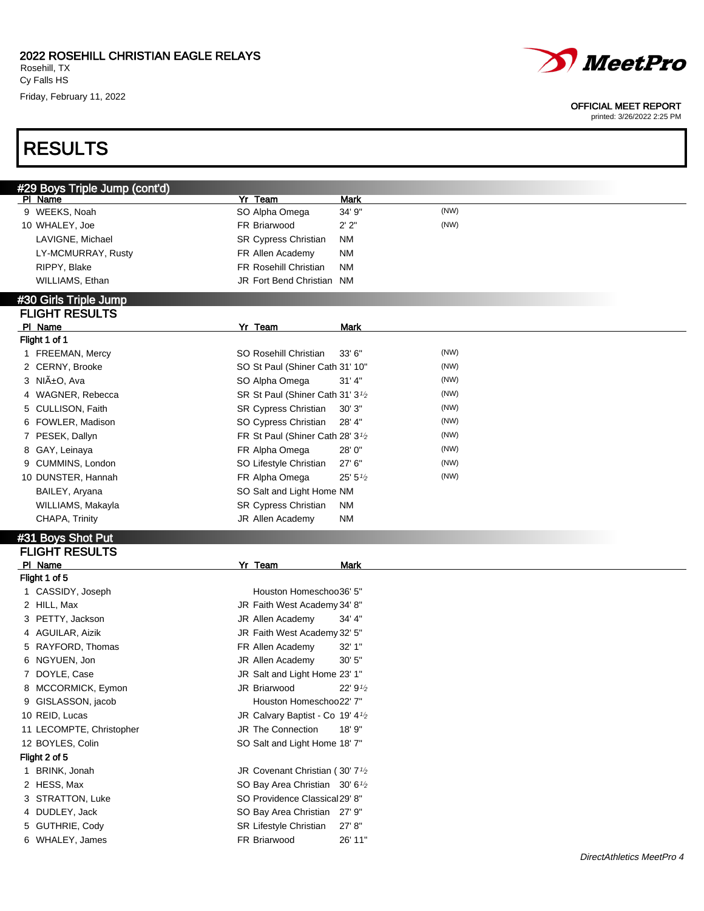Cy Falls HS Friday, February 11, 2022



#### OFFICIAL MEET REPORT

printed: 3/26/2022 2:25 PM

## RESULTS

| #29 Boys Triple Jump (cont'd)      |                                                           |                      |      |
|------------------------------------|-----------------------------------------------------------|----------------------|------|
| PI Name                            | Yr Team                                                   | <b>Mark</b>          |      |
| 9 WEEKS, Noah                      | SO Alpha Omega                                            | 34' 9"               | (NW) |
| 10 WHALEY, Joe                     | FR Briarwood                                              | 2'2"                 | (NW) |
| LAVIGNE, Michael                   | SR Cypress Christian                                      | <b>NM</b>            |      |
| LY-MCMURRAY, Rusty                 | FR Allen Academy                                          | <b>NM</b>            |      |
| RIPPY, Blake                       | FR Rosehill Christian                                     | <b>NM</b>            |      |
| WILLIAMS, Ethan                    | JR Fort Bend Christian NM                                 |                      |      |
| #30 Girls Triple Jump              |                                                           |                      |      |
| <b>FLIGHT RESULTS</b>              |                                                           |                      |      |
| PI Name                            | Yr Team                                                   | <b>Mark</b>          |      |
| Flight 1 of 1                      |                                                           |                      |      |
| 1 FREEMAN, Mercy                   | SO Rosehill Christian                                     | 33' 6"               | (NW) |
| 2 CERNY, Brooke                    | SO St Paul (Shiner Cath 31' 10"                           |                      | (NW) |
| 3 NIñO, Ava                        | SO Alpha Omega                                            | 31' 4"               | (NW) |
| 4 WAGNER, Rebecca                  | SR St Paul (Shiner Cath 31' 3 <sup>1</sup> / <sub>2</sub> |                      | (NW) |
| CULLISON, Faith<br>5               | SR Cypress Christian                                      | 30' 3"               | (NW) |
| FOWLER, Madison<br>6               | SO Cypress Christian                                      | 28' 4"               | (NW) |
| 7 PESEK, Dallyn                    | FR St Paul (Shiner Cath 28' 3 <sup>1/2</sup>              |                      | (NW) |
| GAY, Leinaya<br>8                  | FR Alpha Omega                                            | 28'0"                | (NW) |
| CUMMINS, London<br>9               | SO Lifestyle Christian                                    | 27' 6"               | (NW) |
| 10 DUNSTER, Hannah                 | FR Alpha Omega                                            | 25' 5'' <sub>2</sub> | (NW) |
| BAILEY, Aryana                     | SO Salt and Light Home NM                                 |                      |      |
| WILLIAMS, Makayla                  | SR Cypress Christian                                      | <b>NM</b>            |      |
| CHAPA, Trinity                     | JR Allen Academy                                          | <b>NM</b>            |      |
| #31 Boys Shot Put                  |                                                           |                      |      |
| <b>FLIGHT RESULTS</b>              |                                                           |                      |      |
| PI Name                            | Yr Team                                                   | <b>Mark</b>          |      |
| Flight 1 of 5                      |                                                           |                      |      |
| 1 CASSIDY, Joseph                  | Houston Homeschoo36' 5"                                   |                      |      |
| 2 HILL, Max                        | JR Faith West Academy 34' 8"                              |                      |      |
| 3 PETTY, Jackson                   | JR Allen Academy                                          | 34' 4"               |      |
| 4 AGUILAR, Aizik                   | JR Faith West Academy 32' 5"                              |                      |      |
| 5 RAYFORD, Thomas                  | FR Allen Academy                                          | 32' 1"               |      |
| 6 NGYUEN, Jon                      | JR Allen Academy                                          | 30' 5"               |      |
| 7 DOYLE, Case                      | JR Salt and Light Home 23' 1"                             |                      |      |
| 8 MCCORMICK, Eymon                 | JR Briarwood                                              | 22'9'2               |      |
| 9 GISLASSON, jacob                 | Houston Homeschoo22' 7"                                   |                      |      |
| 10 REID, Lucas                     | JR Calvary Baptist - Co 19' 4 <sup>1</sup> / <sub>2</sub> |                      |      |
| 11 LECOMPTE, Christopher           | JR The Connection                                         | 18' 9"               |      |
| 12 BOYLES, Colin                   | SO Salt and Light Home 18' 7"                             |                      |      |
| Flight 2 of 5                      |                                                           |                      |      |
| 1 BRINK, Jonah                     | JR Covenant Christian (30' 7 <sup>1</sup> /2              |                      |      |
| 2 HESS, Max                        | SO Bay Area Christian 30' 6 <sup>1</sup> / <sub>2</sub>   |                      |      |
| 3 STRATTON, Luke                   | SO Providence Classical29' 8"                             |                      |      |
| 4 DUDLEY, Jack                     |                                                           |                      |      |
|                                    | SO Bay Area Christian 27' 9"                              |                      |      |
|                                    |                                                           | 27' 8"               |      |
| 5 GUTHRIE, Cody<br>6 WHALEY, James | SR Lifestyle Christian<br>FR Briarwood                    | 26' 11"              |      |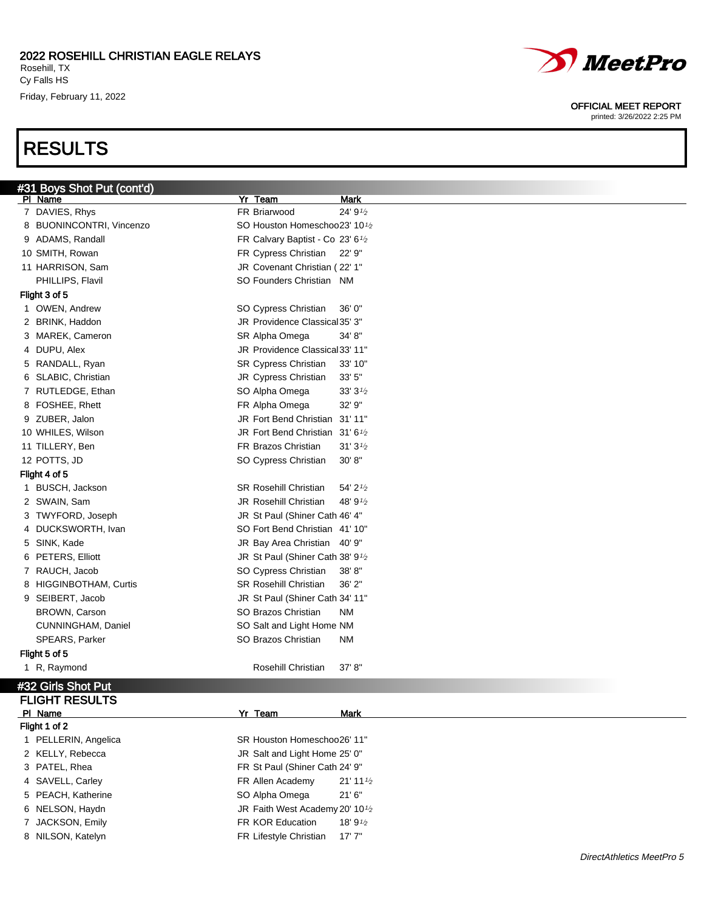### 2022 ROSEHILL CHRISTIAN EAGLE RELAYS

Rosehill, TX Cy Falls HS Friday, February 11, 2022

## RESULTS



#### OFFICIAL MEET REPORT

printed: 3/26/2022 2:25 PM

| #31 Boys Shot Put (cont'd) | Yr Team                                                               | <b>Mark</b> |
|----------------------------|-----------------------------------------------------------------------|-------------|
| PI Name<br>7 DAVIES, Rhys  | FR Briarwood                                                          | 24' 91/2    |
| 8 BUONINCONTRI, Vincenzo   | SO Houston Homeschoo23' 101/2                                         |             |
| 9 ADAMS, Randall           |                                                                       |             |
| 10 SMITH, Rowan            | FR Calvary Baptist - Co 23' 6 <sup>1</sup> /2<br>FR Cypress Christian | 22' 9"      |
|                            |                                                                       |             |
| 11 HARRISON, Sam           | JR Covenant Christian (22' 1"                                         |             |
| PHILLIPS, Flavil           | SO Founders Christian NM                                              |             |
| Flight 3 of 5              |                                                                       |             |
| 1 OWEN, Andrew             | SO Cypress Christian                                                  | 36' 0"      |
| 2 BRINK, Haddon            | JR Providence Classical 35' 3"                                        |             |
| 3 MAREK, Cameron           | SR Alpha Omega                                                        | 34' 8"      |
| 4 DUPU, Alex               | JR Providence Classical 33' 11"                                       |             |
| 5 RANDALL, Ryan            | <b>SR Cypress Christian</b>                                           | 33' 10"     |
| 6 SLABIC, Christian        | JR Cypress Christian                                                  | 33' 5"      |
| 7 RUTLEDGE, Ethan          | SO Alpha Omega                                                        | 33'3'       |
| 8 FOSHEE, Rhett            | FR Alpha Omega                                                        | 32' 9"      |
| 9 ZUBER, Jalon             | JR Fort Bend Christian                                                | 31' 11"     |
| 10 WHILES, Wilson          | JR Fort Bend Christian 31'6 <sup>1</sup> /2                           |             |
| 11 TILLERY, Ben            | FR Brazos Christian                                                   | 31'3'2      |
| 12 POTTS, JD               | SO Cypress Christian                                                  | 30' 8''     |
| Flight 4 of 5              |                                                                       |             |
| 1 BUSCH, Jackson           | <b>SR Rosehill Christian</b>                                          | 54' 21/2    |
| 2 SWAIN, Sam               | JR Rosehill Christian                                                 | 48' 91/2    |
| 3 TWYFORD, Joseph          | JR St Paul (Shiner Cath 46' 4"                                        |             |
| 4 DUCKSWORTH, Ivan         | SO Fort Bend Christian 41' 10"                                        |             |
| 5 SINK, Kade               | JR Bay Area Christian 40' 9"                                          |             |
| 6 PETERS, Elliott          | JR St Paul (Shiner Cath 38' 9 <sup>1</sup> /2                         |             |
| 7 RAUCH, Jacob             | SO Cypress Christian                                                  | 38'8"       |
| 8 HIGGINBOTHAM, Curtis     | <b>SR Rosehill Christian</b>                                          | 36' 2"      |
| 9 SEIBERT, Jacob           | JR St Paul (Shiner Cath 34' 11"                                       |             |
| <b>BROWN, Carson</b>       | SO Brazos Christian                                                   | <b>NM</b>   |
| CUNNINGHAM, Daniel         | SO Salt and Light Home NM                                             |             |
| SPEARS, Parker             | SO Brazos Christian                                                   | <b>NM</b>   |
| Flight 5 of 5              |                                                                       |             |
| 1 R, Raymond               | Rosehill Christian                                                    | 37' 8"      |
|                            |                                                                       |             |
| #32 Girls Shot Put         |                                                                       |             |
| <b>FLIGHT RESULTS</b>      |                                                                       |             |
| PI Name                    | Yr Team                                                               | Mark        |
| Flight 1 of 2              |                                                                       |             |
| 1 PELLERIN, Angelica       | SR Houston Homeschoo26' 11"                                           |             |

2 KELLY, Rebecca **JR** Salt and Light Home 25' 0" 3 PATEL, Rhea FR St Paul (Shiner Cath 24' 9"

- 
- 
- 
- 
- 8 NILSON, Katelyn **FR Lifestyle Christian** 17' 7"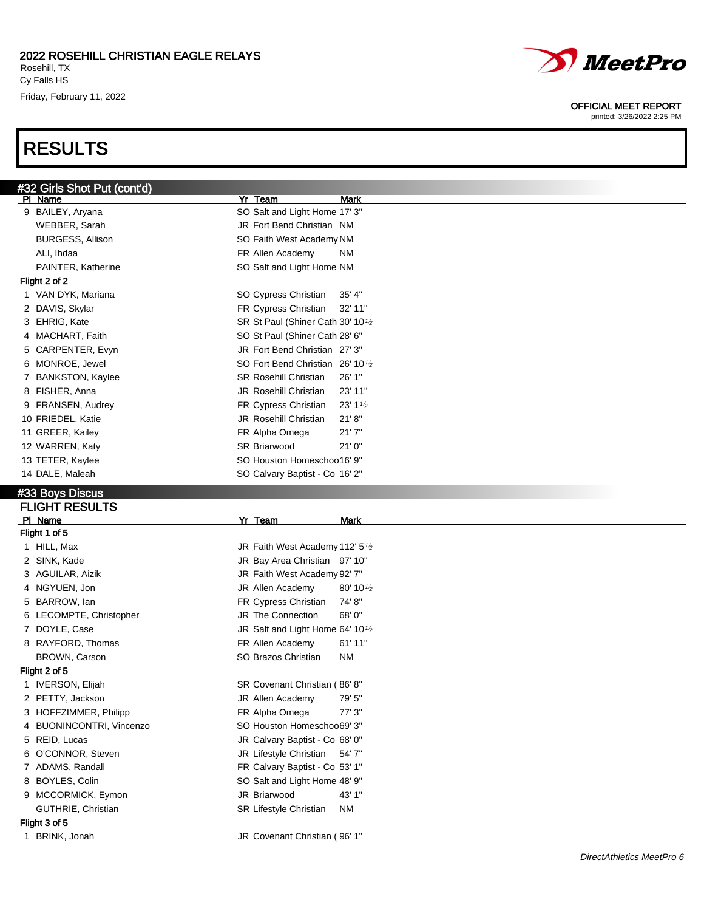Friday, February 11, 2022

## RESULTS



#### OFFICIAL MEET REPORT

| #32 Girls Shot Put (cont'd)<br>PI Name | Yr Team<br><b>Mark</b>                                    |
|----------------------------------------|-----------------------------------------------------------|
| 9 BAILEY, Aryana                       | SO Salt and Light Home 17' 3"                             |
| WEBBER, Sarah                          | JR Fort Bend Christian NM                                 |
| <b>BURGESS, Allison</b>                | SO Faith West Academy NM                                  |
| ALI, Ihdaa                             | FR Allen Academy<br>NM                                    |
| PAINTER, Katherine                     |                                                           |
| Flight 2 of 2                          | SO Salt and Light Home NM                                 |
|                                        |                                                           |
| 1 VAN DYK, Mariana                     | SO Cypress Christian<br>35' 4"                            |
| 2 DAVIS, Skylar                        | FR Cypress Christian<br>32' 11"                           |
| 3 EHRIG, Kate                          | SR St Paul (Shiner Cath 30' 10 <sup>1</sup> /2            |
| 4 MACHART, Faith                       | SO St Paul (Shiner Cath 28' 6"                            |
| 5 CARPENTER, Evyn                      | JR Fort Bend Christian 27' 3"                             |
| MONROE, Jewel<br>6                     | SO Fort Bend Christian 26' 10 <sup>1</sup> / <sub>2</sub> |
| <b>BANKSTON, Kaylee</b><br>7           | <b>SR Rosehill Christian</b><br>26' 1"                    |
| 8 FISHER, Anna                         | <b>JR Rosehill Christian</b><br>23' 11"                   |
| 9 FRANSEN, Audrey                      | FR Cypress Christian<br>$23' 1\frac{1}{2}$                |
| 10 FRIEDEL, Katie                      | <b>JR Rosehill Christian</b><br>21' 8''                   |
| 11 GREER, Kailey                       | 21'7''<br>FR Alpha Omega                                  |
| 12 WARREN, Katy                        | SR Briarwood<br>21'0''                                    |
| 13 TETER, Kaylee                       | SO Houston Homeschoo16' 9"                                |
| 14 DALE, Maleah                        | SO Calvary Baptist - Co 16' 2"                            |
| #33 Boys Discus                        |                                                           |
| <b>FLIGHT RESULTS</b>                  |                                                           |
| PI Name                                | Yr Team<br><b>Mark</b>                                    |
| Flight 1 of 5                          |                                                           |
|                                        |                                                           |
|                                        |                                                           |
| 1 HILL, Max                            | JR Faith West Academy 112' 5 <sup>1</sup> /2              |
| 2 SINK, Kade                           | JR Bay Area Christian 97' 10"                             |
| 3 AGUILAR, Aizik                       | JR Faith West Academy 92' 7"                              |
| 4 NGYUEN, Jon                          | JR Allen Academy<br>$80' 10\frac{1}{2}$                   |
| 5 BARROW, lan                          | FR Cypress Christian<br>74'8"                             |
| 6 LECOMPTE, Christopher                | JR The Connection<br>68'0"                                |
| 7 DOYLE, Case                          | JR Salt and Light Home 64' 10 <sup>1</sup> / <sub>2</sub> |
| 8 RAYFORD, Thomas                      | FR Allen Academy<br>61' 11"                               |
| BROWN, Carson                          | SO Brazos Christian<br><b>NM</b>                          |
| Flight 2 of 5                          |                                                           |
| 1 IVERSON, Elijah                      | SR Covenant Christian (86'8"                              |
| 2 PETTY, Jackson                       | JR Allen Academy<br>79' 5"                                |
| 3 HOFFZIMMER, Philipp                  | FR Alpha Omega<br>77' 3"                                  |
| 4 BUONINCONTRI, Vincenzo               | SO Houston Homeschoo69' 3"                                |
| 5 REID, Lucas                          | JR Calvary Baptist - Co 68' 0"                            |
| O'CONNOR, Steven<br>6                  | JR Lifestyle Christian 54' 7"                             |
| 7 ADAMS, Randall                       | FR Calvary Baptist - Co 53' 1"                            |
| 8 BOYLES, Colin                        | SO Salt and Light Home 48' 9"                             |
| 9 MCCORMICK, Eymon                     | JR Briarwood<br>43' 1"                                    |
| GUTHRIE, Christian                     | SR Lifestyle Christian<br><b>NM</b>                       |
| Flight 3 of 5                          |                                                           |
| 1 BRINK, Jonah                         | JR Covenant Christian (96' 1"                             |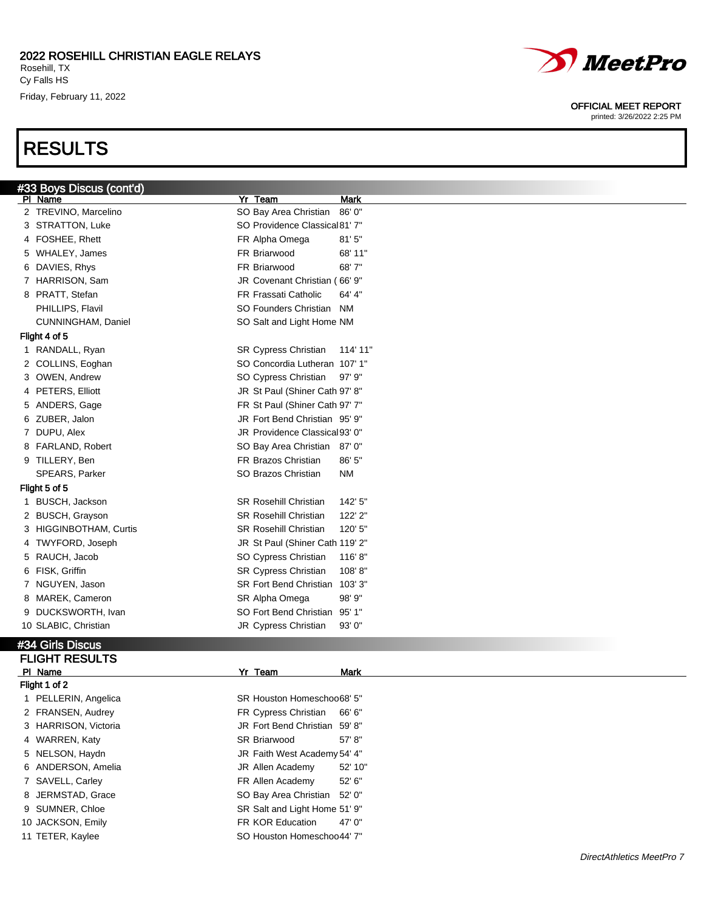### 2022 ROSEHILL CHRISTIAN EAGLE RELAYS

Rosehill, TX Cy Falls HS Friday, February 11, 2022

### RESULTS



#### OFFICIAL MEET REPORT

printed: 3/26/2022 2:25 PM

| #33 Boys Discus (cont'd) |                                          |
|--------------------------|------------------------------------------|
| PI Name                  | Yr Team<br>Mark                          |
| 2 TREVINO, Marcelino     | SO Bay Area Christian<br>86'0"           |
| 3 STRATTON, Luke         | SO Providence Classical 81' 7"           |
| 4 FOSHEE, Rhett          | FR Alpha Omega<br>81'5''                 |
| 5 WHALEY, James          | FR Briarwood<br>68' 11"                  |
| 6 DAVIES, Rhys           | FR Briarwood<br>68'7"                    |
| 7 HARRISON, Sam          | JR Covenant Christian (66' 9"            |
| 8 PRATT, Stefan          | FR Frassati Catholic<br>64' 4"           |
| PHILLIPS, Flavil         | SO Founders Christian NM                 |
| CUNNINGHAM, Daniel       | SO Salt and Light Home NM                |
| Flight 4 of 5            |                                          |
| 1 RANDALL, Ryan          | SR Cypress Christian<br>114' 11"         |
| 2 COLLINS, Eoghan        | SO Concordia Lutheran 107' 1"            |
| 3 OWEN, Andrew           | SO Cypress Christian<br>$97'$ $9"$       |
| 4 PETERS, Elliott        | JR St Paul (Shiner Cath 97' 8"           |
| 5 ANDERS, Gage           | FR St Paul (Shiner Cath 97' 7"           |
| 6 ZUBER, Jalon           | JR Fort Bend Christian 95' 9"            |
| 7 DUPU, Alex             | JR Providence Classical 93' 0"           |
| 8 FARLAND, Robert        | SO Bay Area Christian 87' 0"             |
| 9 TILLERY, Ben           | FR Brazos Christian<br>86' 5"            |
| SPEARS, Parker           | SO Brazos Christian<br>ΝM                |
| Flight 5 of 5            |                                          |
| 1 BUSCH, Jackson         | <b>SR Rosehill Christian</b><br>142' 5"  |
| 2 BUSCH, Grayson         | <b>SR Rosehill Christian</b><br>122' 2"  |
| 3 HIGGINBOTHAM, Curtis   | <b>SR Rosehill Christian</b><br>120' 5"  |
| 4 TWYFORD, Joseph        | JR St Paul (Shiner Cath 119' 2"          |
| 5 RAUCH, Jacob           | SO Cypress Christian<br>116'8"           |
| 6 FISK, Griffin          | SR Cypress Christian<br>108'8"           |
| 7 NGUYEN, Jason          | 103' 3"<br><b>SR Fort Bend Christian</b> |
| 8 MAREK, Cameron         | SR Alpha Omega<br>98' 9"                 |
| 9 DUCKSWORTH, Ivan       | SO Fort Bend Christian 95' 1"            |
| 10 SLABIC, Christian     | JR Cypress Christian<br>93' 0"           |
| #34 Girls Discus         |                                          |
| <b>FLIGHT RESULTS</b>    |                                          |
| PI Name                  | Yr Team<br><b>Mark</b>                   |
| Flight 1 of 2            |                                          |
| 1 PELLERIN, Angelica     | SR Houston Homeschoo68' 5"               |
| 2 FRANSEN, Audrey        | FR Cypress Christian<br>66' 6"           |

3 HARRISON, Victoria JR Fort Bend Christian 59' 8"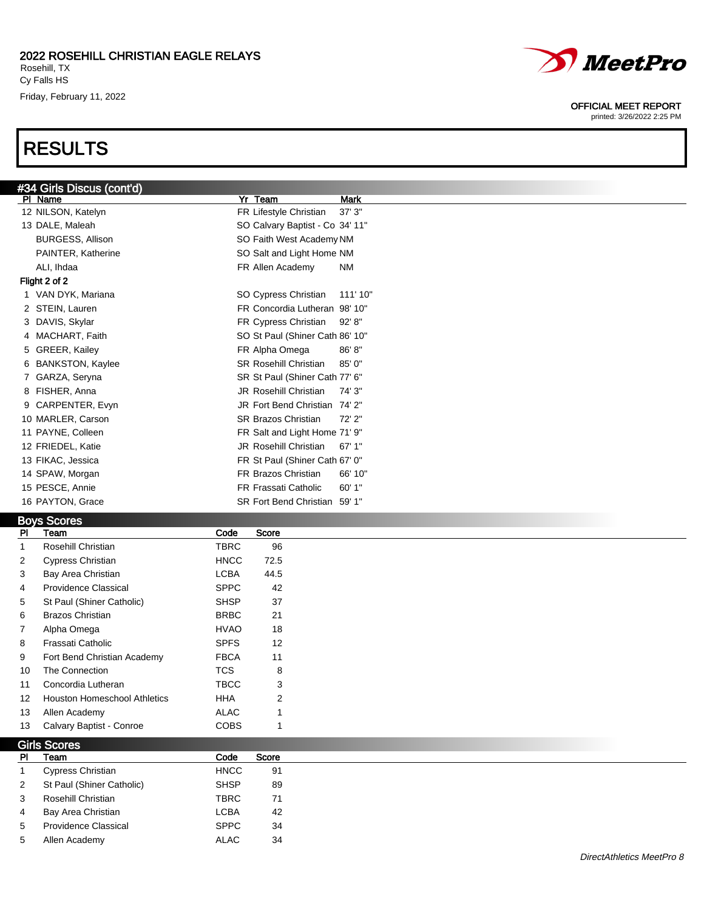# RESULTS



#### OFFICIAL MEET REPORT

printed: 3/26/2022 2:25 PM

| #34 Girls Discus (cont'd)<br>PI Name | Yr Team                         | <b>Mark</b> |
|--------------------------------------|---------------------------------|-------------|
| 12 NILSON, Katelyn                   | FR Lifestyle Christian          | 37'3''      |
| 13 DALE, Maleah                      | SO Calvary Baptist - Co 34' 11" |             |
| <b>BURGESS, Allison</b>              | SO Faith West Academy NM        |             |
| PAINTER, Katherine                   | SO Salt and Light Home NM       |             |
| ALI, Ihdaa                           | FR Allen Academy                | <b>NM</b>   |
| Flight 2 of 2                        |                                 |             |
| 1 VAN DYK, Mariana                   | SO Cypress Christian            | 111' 10"    |
| 2 STEIN, Lauren                      | FR Concordia Lutheran 98' 10"   |             |
| 3 DAVIS, Skylar                      | FR Cypress Christian            | 92'8"       |
| 4 MACHART, Faith                     | SO St Paul (Shiner Cath 86' 10" |             |
| 5 GREER, Kailey                      | FR Alpha Omega                  | 86' 8''     |
| 6 BANKSTON, Kaylee                   | <b>SR Rosehill Christian</b>    | 85' 0"      |
| 7 GARZA, Seryna                      | SR St Paul (Shiner Cath 77' 6"  |             |
| 8 FISHER, Anna                       | <b>JR Rosehill Christian</b>    | 74' 3"      |
| 9 CARPENTER, Evyn                    | JR Fort Bend Christian 74' 2"   |             |
| 10 MARLER, Carson                    | <b>SR Brazos Christian</b>      | 72'2"       |
| 11 PAYNE, Colleen                    | FR Salt and Light Home 71' 9"   |             |
| 12 FRIEDEL, Katie                    | <b>JR Rosehill Christian</b>    | 67'1"       |
| 13 FIKAC, Jessica                    | FR St Paul (Shiner Cath 67' 0"  |             |
| 14 SPAW, Morgan                      | FR Brazos Christian             | 66' 10"     |
| 15 PESCE, Annie                      | FR Frassati Catholic            | 60'1"       |
| 16 PAYTON, Grace                     | SR Fort Bend Christian 59' 1"   |             |

### Boys Scores

| <b>PI</b>      | Team                                | Code        | <b>Score</b>   |  |
|----------------|-------------------------------------|-------------|----------------|--|
|                | Rosehill Christian                  | <b>TBRC</b> | 96             |  |
| $\mathbf{2}$   | <b>Cypress Christian</b>            | <b>HNCC</b> | 72.5           |  |
| 3              | Bay Area Christian                  | <b>LCBA</b> | 44.5           |  |
| $\overline{4}$ | <b>Providence Classical</b>         | <b>SPPC</b> | 42             |  |
| 5              | St Paul (Shiner Catholic)           | <b>SHSP</b> | 37             |  |
| 6              | <b>Brazos Christian</b>             | <b>BRBC</b> | 21             |  |
| $\overline{7}$ | Alpha Omega                         | <b>HVAO</b> | 18             |  |
| 8              | Frassati Catholic                   | <b>SPFS</b> | 12             |  |
| 9              | Fort Bend Christian Academy         | <b>FBCA</b> | 11             |  |
| 10             | The Connection                      | <b>TCS</b>  | 8              |  |
| 11             | Concordia Lutheran                  | <b>TBCC</b> | 3              |  |
| 12             | <b>Houston Homeschool Athletics</b> | <b>HHA</b>  | $\overline{2}$ |  |
| 13             | Allen Academy                       | <b>ALAC</b> |                |  |
| 13             | Calvary Baptist - Conroe            | <b>COBS</b> |                |  |

| Girls Scores |                             |             |       |  |  |  |
|--------------|-----------------------------|-------------|-------|--|--|--|
| <b>PI</b>    | Team                        | Code        | Score |  |  |  |
|              | Cypress Christian           | <b>HNCC</b> | 91    |  |  |  |
| 2            | St Paul (Shiner Catholic)   | <b>SHSP</b> | 89    |  |  |  |
| 3            | Rosehill Christian          | TBRC        | 71    |  |  |  |
| 4            | Bay Area Christian          | LCBA        | 42    |  |  |  |
| 5            | <b>Providence Classical</b> | <b>SPPC</b> | -34   |  |  |  |
| 5            | Allen Academy               | <b>ALAC</b> | 34    |  |  |  |